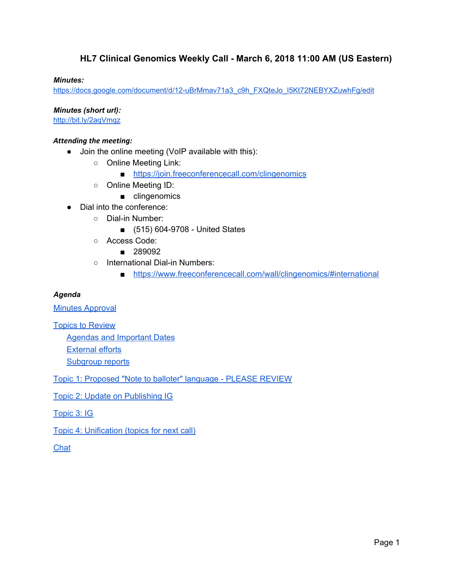### **HL7 Clinical Genomics Weekly Call - March 6, 2018 11:00 AM (US Eastern)**

#### *Minutes:*

[https://docs.google.com/document/d/12-uBrMmav71a3\\_c9h\\_FXQteJo\\_I5Kt72NEBYXZuwhFg/edit](https://docs.google.com/document/d/12-uBrMmav71a3_c9h_FXQteJo_I5Kt72NEBYXZuwhFg/edit)

*Minutes (short url):*

<http://bit.ly/2aqVmqz>

#### *Attending the meeting:*

- Join the online meeting (VoIP available with this):
	- Online Meeting Link:
		- <https://join.freeconferencecall.com/clingenomics>
	- Online Meeting ID:
		- clingenomics
- Dial into the conference:
	- Dial-in Number:
		- (515) 604-9708 United States
	- Access Code:
		- 289092
	- International Dial-in Numbers:
		- <https://www.freeconferencecall.com/wall/clingenomics/#international>

#### *Agenda*

**Minutes [Approval](#page-2-0)** 

Topics to [Review](#page-2-1)

Agendas and [Important](#page-2-2) Dates [External](#page-4-0) efforts

[Subgroup](#page-4-1) reports

Topic 1: [Proposed](#page-5-0) "Note to balloter" language - PLEASE REVIEW

Topic 2: Update on [Publishing](#page-5-1) IG

[Topic](#page-6-0) 3: IG

Topic 4: [Unification](#page-7-0) (topics for next call)

[Chat](#page-8-0)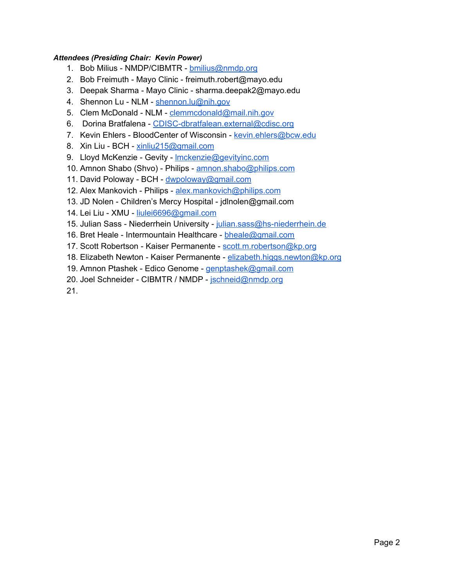#### *Attendees (Presiding Chair: Kevin Power)*

- 1. Bob Milius NMDP/CIBMTR [bmilius@nmdp.org](mailto:bmilius@nmdp.org)
- 2. Bob Freimuth Mayo Clinic freimuth.robert@mayo.edu
- 3. Deepak Sharma Mayo Clinic sharma.deepak2@mayo.edu
- 4. Shennon Lu NLM [shennon.lu@nih.gov](mailto:shennon.lu@nih.gov)
- 5. Clem McDonald NLM [clemmcdonald@mail.nih.gov](mailto:clemmcdonald@mail.nih.gov)
- 6. Dorina Bratfalena [CDISC-dbratfalean.external@cdisc.org](mailto:CDISC-dbratfalean.external@cdisc.org)
- 7. Kevin Ehlers BloodCenter of Wisconsin [kevin.ehlers@bcw.edu](mailto:kevin.ehlers@bcw.edu)
- 8. Xin Liu BCH [xinliu215@gmail.com](mailto:xinliu215@gmail.com)
- 9. Lloyd McKenzie Gevity Imckenzie@gevityinc.com
- 10. Amnon Shabo (Shvo) Philips [amnon.shabo@philips.com](mailto:amnon.shabo@philips.com)
- 11. David Poloway BCH [dwpoloway@gmail.com](mailto:dwpoloway@gmail.com)
- 12. Alex Mankovich Philips [alex.mankovich@philips.com](mailto:alex.mankovich@philips.com)
- 13. JD Nolen Children's Mercy Hospital jdlnolen@gmail.com
- 14. Lei Liu XMU [liulei6696@gmail.com](mailto:liulei6696@gmail.com)
- 15. Julian Sass Niederrhein University [julian.sass@hs-niederrhein.de](mailto:julian.sass@hs-niederrhein.de)
- 16. Bret Heale Intermountain Healthcare [bheale@gmail.com](mailto:bheale@gmail.com)
- 17. Scott Robertson Kaiser Permanente [scott.m.robertson@kp.org](mailto:scott.m.robertson@kp.org)
- 18. Elizabeth Newton Kaiser Permanente [elizabeth.higgs.newton@kp.org](mailto:elizabeth.higgs.newton@kp.org)
- 19. Amnon Ptashek Edico Genome [genptashek@gmail.com](mailto:genptashek@gmail.com)
- 20. Joel Schneider CIBMTR / NMDP [jschneid@nmdp.org](mailto:jschneid@nmdp.org)

21.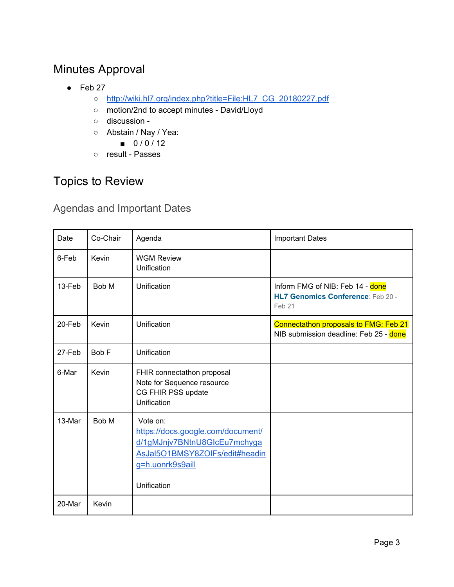# <span id="page-2-0"></span>Minutes Approval

- $\bullet$  Feb 27
	- [http://wiki.hl7.org/index.php?title=File:HL7\\_CG\\_20180227.pdf](http://wiki.hl7.org/index.php?title=File:HL7_CG_20180227.pdf)
	- motion/2nd to accept minutes David/Lloyd
	- discussion -
	- Abstain / Nay / Yea:
		- $0 / 0 / 12$
	- result Passes

## <span id="page-2-1"></span>Topics to Review

### <span id="page-2-2"></span>Agendas and Important Dates

| <b>Date</b> | Co-Chair | Agenda                                                                                                                                             | <b>Important Dates</b>                                                                 |
|-------------|----------|----------------------------------------------------------------------------------------------------------------------------------------------------|----------------------------------------------------------------------------------------|
| 6-Feb       | Kevin    | <b>WGM Review</b><br>Unification                                                                                                                   |                                                                                        |
| 13-Feb      | Bob M    | Unification                                                                                                                                        | Inform FMG of NIB: Feb 14 - done<br><b>HL7 Genomics Conference: Feb 20 -</b><br>Feb 21 |
| $20$ -Feb   | Kevin    | Unification                                                                                                                                        | Connectathon proposals to FMG: Feb 21<br>NIB submission deadline: Feb 25 - done        |
| 27-Feb      | Bob F    | Unification                                                                                                                                        |                                                                                        |
| 6-Mar       | Kevin    | FHIR connectathon proposal<br>Note for Sequence resource<br>CG FHIR PSS update<br>Unification                                                      |                                                                                        |
| 13-Mar      | Bob M    | Vote on:<br>https://docs.google.com/document/<br>d/1gMJnjv7BNtnU8GIcEu7mchyga<br>AsJal5O1BMSY8ZOlFs/edit#headin<br>g=h.uonrk9s9aill<br>Unification |                                                                                        |
| 20-Mar      | Kevin    |                                                                                                                                                    |                                                                                        |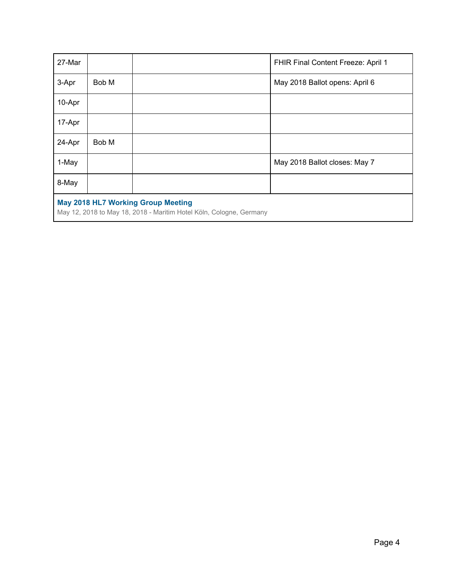| 27-Mar                                                                                                           |       |  | FHIR Final Content Freeze: April 1 |  |  |
|------------------------------------------------------------------------------------------------------------------|-------|--|------------------------------------|--|--|
| 3-Apr                                                                                                            | Bob M |  | May 2018 Ballot opens: April 6     |  |  |
| 10-Apr                                                                                                           |       |  |                                    |  |  |
| 17-Apr                                                                                                           |       |  |                                    |  |  |
| 24-Apr                                                                                                           | Bob M |  |                                    |  |  |
| 1-May                                                                                                            |       |  | May 2018 Ballot closes: May 7      |  |  |
| 8-May                                                                                                            |       |  |                                    |  |  |
| <b>May 2018 HL7 Working Group Meeting</b><br>May 12, 2018 to May 18, 2018 - Maritim Hotel Köln, Cologne, Germany |       |  |                                    |  |  |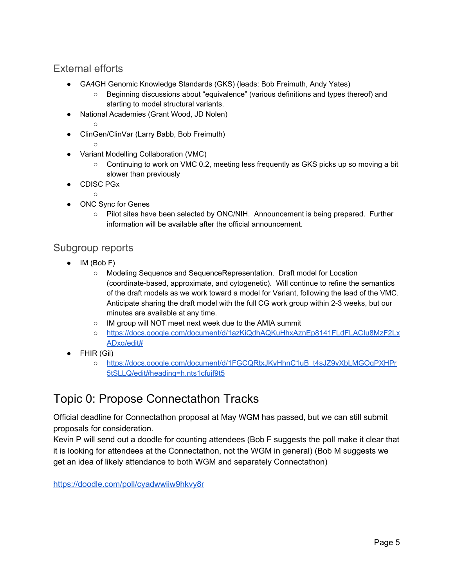### <span id="page-4-0"></span>External efforts

- GA4GH Genomic Knowledge Standards (GKS) (leads: Bob Freimuth, Andy Yates)
	- Beginning discussions about "equivalence" (various definitions and types thereof) and starting to model structural variants.
- National Academies (Grant Wood, JD Nolen) ○
- ClinGen/ClinVar (Larry Babb, Bob Freimuth)
	- $\cap$
- Variant Modelling Collaboration (VMC)
	- Continuing to work on VMC 0.2, meeting less frequently as GKS picks up so moving a bit slower than previously
- CDISC PGx  $\Omega$
- ONC Sync for Genes
	- Pilot sites have been selected by ONC/NIH. Announcement is being prepared. Further information will be available after the official announcement.

### <span id="page-4-1"></span>Subgroup reports

- IM (Bob F)
	- Modeling Sequence and SequenceRepresentation. Draft model for Location (coordinate-based, approximate, and cytogenetic). Will continue to refine the semantics of the draft models as we work toward a model for Variant, following the lead of the VMC. Anticipate sharing the draft model with the full CG work group within 2-3 weeks, but our minutes are available at any time.
	- IM group will NOT meet next week due to the AMIA summit
	- [https://docs.google.com/document/d/1azKiQdhAQKuHhxAznEp8141FLdFLACIu8MzF2Lx](https://docs.google.com/document/d/1azKiQdhAQKuHhxAznEp8141FLdFLACIu8MzF2LxADxg/edit#) [ADxg/edit#](https://docs.google.com/document/d/1azKiQdhAQKuHhxAznEp8141FLdFLACIu8MzF2LxADxg/edit#)
- FHIR (Gil)
	- o [https://docs.google.com/document/d/1FGCQRtxJKyHhnC1uB\\_t4sJZ9yXbLMGOqPXHPr](https://docs.google.com/document/d/1FGCQRtxJKyHhnC1uB_t4sJZ9yXbLMGOqPXHPr5tSLLQ/edit#heading=h.nts1cfujf9t5) [5tSLLQ/edit#heading=h.nts1cfujf9t5](https://docs.google.com/document/d/1FGCQRtxJKyHhnC1uB_t4sJZ9yXbLMGOqPXHPr5tSLLQ/edit#heading=h.nts1cfujf9t5)

## Topic 0: Propose Connectathon Tracks

Official deadline for Connectathon proposal at May WGM has passed, but we can still submit proposals for consideration.

Kevin P will send out a doodle for counting attendees (Bob F suggests the poll make it clear that it is looking for attendees at the Connectathon, not the WGM in general) (Bob M suggests we get an idea of likely attendance to both WGM and separately Connectathon)

<https://doodle.com/poll/cyadwwiiw9hkvy8r>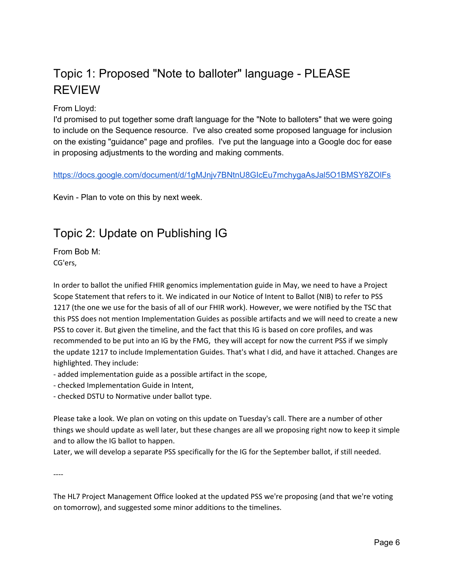# <span id="page-5-0"></span>Topic 1: Proposed "Note to balloter" language - PLEASE REVIEW

From Lloyd:

I'd promised to put together some draft language for the "Note to balloters" that we were going to include on the Sequence resource. I've also created some proposed language for inclusion on the existing "guidance" page and profiles. I've put the language into a Google doc for ease in proposing adjustments to the wording and making comments.

[https://docs.google.com/document/d/1gMJnjv7BNtnU8GIcEu7mchygaAsJal5O1BMSY8ZOlFs](https://na01.safelinks.protection.outlook.com/?url=https%3A%2F%2Fdocs.google.com%2Fdocument%2Fd%2F1gMJnjv7BNtnU8GIcEu7mchygaAsJal5O1BMSY8ZOlFs&data=02%7C01%7CKevin.Power%40cerner.com%7Cdfbfa33999c44dbe35b108d582583162%7Cfbc493a80d244454a815f4ca58e8c09d%7C0%7C0%7C636558237712037949&sdata=LapXGK9qTYokAZHdJiD1ZrDH2pkE3bb%2BkUIZrFHIkkU%3D&reserved=0)

Kevin - Plan to vote on this by next week[.](https://na01.safelinks.protection.outlook.com/?url=https%3A%2F%2Fdocs.google.com%2Fdocument%2Fd%2F1gMJnjv7BNtnU8GIcEu7mchygaAsJal5O1BMSY8ZOlFs&data=02%7C01%7CKevin.Power%40cerner.com%7Cdfbfa33999c44dbe35b108d582583162%7Cfbc493a80d244454a815f4ca58e8c09d%7C0%7C0%7C636558237712037949&sdata=LapXGK9qTYokAZHdJiD1ZrDH2pkE3bb%2BkUIZrFHIkkU%3D&reserved=0)

## <span id="page-5-1"></span>Topic 2: Update on Publishing IG

From Bob M: CG'ers,

In order to ballot the unified FHIR genomics implementation guide in May, we need to have a Project Scope Statement that refers to it. We indicated in our Notice of Intent to Ballot (NIB) to refer to PSS 1217 (the one we use for the basis of all of our FHIR work). However, we were notified by the TSC that this PSS does not mention Implementation Guides as possible artifacts and we will need to create a new PSS to cover it. But given the timeline, and the fact that this IG is based on core profiles, and was recommended to be put into an IG by the FMG, they will accept for now the current PSS if we simply the update 1217 to include Implementation Guides. That's what I did, and have it attached. Changes are highlighted. They include:

- added implementation guide as a possible artifact in the scope,

- checked Implementation Guide in Intent,

- checked DSTU to Normative under ballot type.

Please take a look. We plan on voting on this update on Tuesday's call. There are a number of other things we should update as well later, but these changes are all we proposing right now to keep it simple and to allow the IG ballot to happen.

Later, we will develop a separate PSS specifically for the IG for the September ballot, if still needed.

----

The HL7 Project Management Office looked at the updated PSS we're proposing (and that we're voting on tomorrow), and suggested some minor additions to the timelines.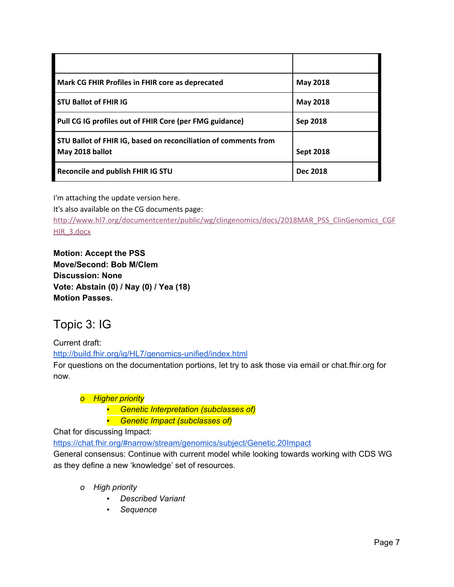| Mark CG FHIR Profiles in FHIR core as deprecated                                   | <b>May 2018</b>  |
|------------------------------------------------------------------------------------|------------------|
| <b>STU Ballot of FHIR IG</b>                                                       | <b>May 2018</b>  |
| Pull CG IG profiles out of FHIR Core (per FMG guidance)                            | Sep 2018         |
| STU Ballot of FHIR IG, based on reconciliation of comments from<br>May 2018 ballot | <b>Sept 2018</b> |
| Reconcile and publish FHIR IG STU                                                  | <b>Dec 2018</b>  |

I'm attaching the update version here.

It's also available on the CG documents page:

[http://www.hl7.org/documentcenter/public/wg/clingenomics/docs/2018MAR\\_PSS\\_ClinGenomics\\_CGF](https://na01.safelinks.protection.outlook.com/?url=http%3A%2F%2Fwww.hl7.org%2Fdocumentcenter%2Fpublic%2Fwg%2Fclingenomics%2Fdocs%2F2018MAR_PSS_ClinGenomics_CGFHIR_3.docx&data=02%7C01%7CKevin.Power%40cerner.com%7Cef255207dadd4d45e0f908d582dc7489%7Cfbc493a80d244454a815f4ca58e8c09d%7C0%7C1%7C636558806060822483&sdata=ZjK4Ss4eCamoAZtaxhf4dmMFEeCoFKb7Q7pQZxlR%2FAQ%3D&reserved=0) [HIR\\_3.docx](https://na01.safelinks.protection.outlook.com/?url=http%3A%2F%2Fwww.hl7.org%2Fdocumentcenter%2Fpublic%2Fwg%2Fclingenomics%2Fdocs%2F2018MAR_PSS_ClinGenomics_CGFHIR_3.docx&data=02%7C01%7CKevin.Power%40cerner.com%7Cef255207dadd4d45e0f908d582dc7489%7Cfbc493a80d244454a815f4ca58e8c09d%7C0%7C1%7C636558806060822483&sdata=ZjK4Ss4eCamoAZtaxhf4dmMFEeCoFKb7Q7pQZxlR%2FAQ%3D&reserved=0)

**Motion: Accept the PSS Move/Second: Bob M/Clem Discussion: None Vote: Abstain (0) / Nay (0) / Yea (18) Motion Passes.**

## <span id="page-6-0"></span>Topic 3: IG

Current draft: <http://build.fhir.org/ig/HL7/genomics-unified/index.html>

For questions on the documentation portions, let try to ask those via email or chat.fhir.org for now.

### *o Higher priority*

*▪ Genetic Interpretation (subclasses of)*

*▪ Genetic Impact (subclasses of)*

Chat for discussing Impact:

<https://chat.fhir.org/#narrow/stream/genomics/subject/Genetic.20Impact>

General consensus: Continue with current model while looking towards working with CDS WG as they define a new 'knowledge' set of resources.

- *o High priority*
	- *▪ Described Variant*
	- *▪ Sequence*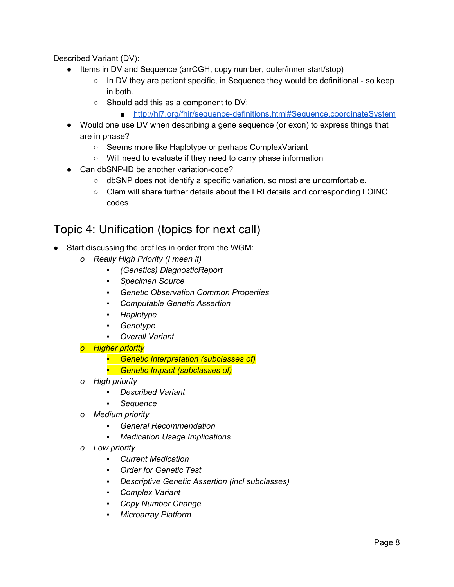Described Variant (DV):

- Items in DV and Sequence (arrCGH, copy number, outer/inner start/stop)
	- $\circ$  In DV they are patient specific, in Sequence they would be definitional so keep in both.
	- Should add this as a component to DV:
		- <http://hl7.org/fhir/sequence-definitions.html#Sequence.coordinateSystem>
- Would one use DV when describing a gene sequence (or exon) to express things that are in phase?
	- Seems more like Haplotype or perhaps ComplexVariant
	- Will need to evaluate if they need to carry phase information
- Can dbSNP-ID be another variation-code?
	- dbSNP does not identify a specific variation, so most are uncomfortable.
	- Clem will share further details about the LRI details and corresponding LOINC codes

## <span id="page-7-0"></span>Topic 4: Unification (topics for next call)

- Start discussing the profiles in order from the WGM:
	- *o Really High Priority (I mean it)*
		- *▪ (Genetics) DiagnosticReport*
		- *▪ Specimen Source*
		- *▪ Genetic Observation Common Properties*
		- *▪ Computable Genetic Assertion*
		- *▪ Haplotype*
		- *▪ Genotype*
		- *▪ Overall Variant*
	- *o Higher priority*
		- *▪ Genetic Interpretation (subclasses of)*
		- *▪ Genetic Impact (subclasses of)*
	- *o High priority*
		- *▪ Described Variant*
		- *▪ Sequence*
	- *o Medium priority*
		- *▪ General Recommendation*
		- *▪ Medication Usage Implications*
	- *o Low priority*
		- *▪ Current Medication*
		- *▪ Order for Genetic Test*
		- *▪ Descriptive Genetic Assertion (incl subclasses)*
		- *▪ Complex Variant*
		- *▪ Copy Number Change*
		- *▪ Microarray Platform*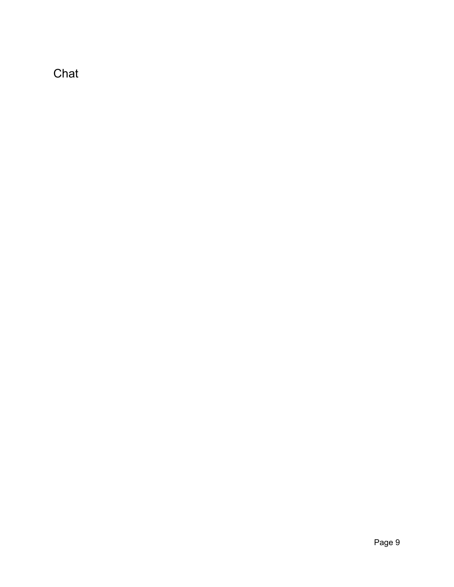<span id="page-8-0"></span>Chat